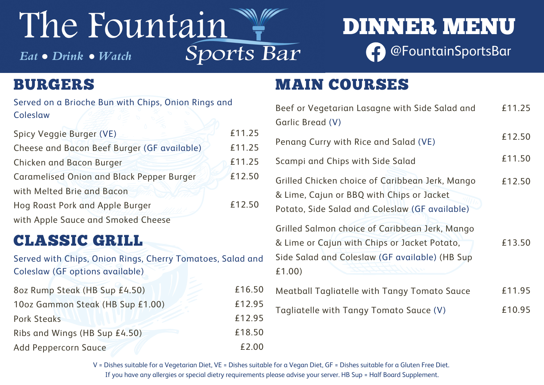V = Dishes suitable for a Vegetarian Diet, VE = Dishes suitable for a Vegan Diet, GF = Dishes suitable for a Gluten Free Diet. If you have any allergies or special dietry requirements please advise your server. HB Sup = Half Board Supplement.

| Beef or Vegetarian Lasagne with Side Salad and                                                                                                 | £11.25 |
|------------------------------------------------------------------------------------------------------------------------------------------------|--------|
| Garlic Bread (V)                                                                                                                               |        |
| Penang Curry with Rice and Salad (VE)                                                                                                          | £12.50 |
| Scampi and Chips with Side Salad                                                                                                               | £11.50 |
| Grilled Chicken choice of Caribbean Jerk, Mango<br>& Lime, Cajun or BBQ with Chips or Jacket<br>Potato, Side Salad and Coleslaw (GF available) | £12.50 |
| Grilled Salmon choice of Caribbean Jerk, Mango                                                                                                 |        |
| & Lime or Cajun with Chips or Jacket Potato,<br>Side Salad and Coleslaw (GF available) (HB Sup<br>£1.00)                                       | £13.50 |
| Meatball Tagliatelle with Tangy Tomato Sauce                                                                                                   | £11.95 |
| Tagliatelle with Tangy Tomato Sauce (V)                                                                                                        | £10.95 |

# DINNER MENU @FountainSportsBar

## The Fountain Sports Bar  $Eat \bullet **Drink \bullet** *Watch*$

#### MAIN COURSES Gar Scampi and Chips with Side Salad £1.0 CLASSIC GRILL Served with Chips, Onion Rings, Cherry Tomatoes, Salad and Coleslaw (GF options available) £16.50 £12.95 £12.95 £18.50 £2.00 8oz Rump Steak (HB Sup £4.50) 10oz Gammon Steak (HB Sup £1.00) Pork Steaks Ribs and Wings (HB Sup £4.50) Add Peppercorn Sauce BURGERS Served on a Brioche Bun with Chips, Onion Rings and **Coleslaw** £11.25 £11.25 £11.25 £12.50 £12.50 Spicy Veggie Burger (VE) Cheese and Bacon Beef Burger (GF available) Chicken and Bacon Burger Caramelised Onion and Black Pepper Burger with Melted Brie and Bacon Hog Roast Pork and Apple Burger with Apple Sauce and Smoked Cheese